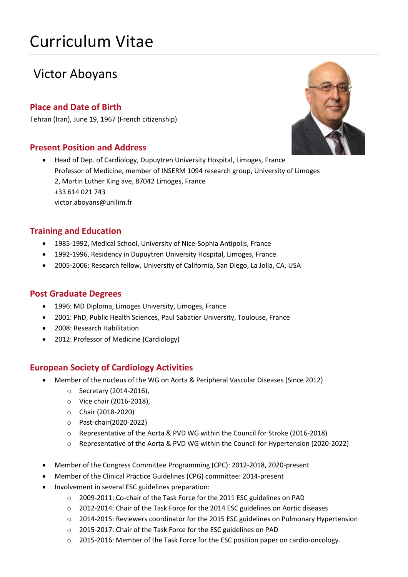# Curriculum Vitae

# Victor Aboyans

# **Place and Date of Birth**

Tehran (Iran), June 19, 1967 (French citizenship)

# **Present Position and Address**

 Head of Dep. of Cardiology, Dupuytren University Hospital, Limoges, France Professor of Medicine, member of INSERM 1094 research group, University of Limoges 2, Martin Luther King ave, 87042 Limoges, France +33 614 021 743 victor.aboyans@unilim.fr

# **Training and Education**

- 1985-1992, Medical School, University of Nice-Sophia Antipolis, France
- 1992-1996, Residency in Dupuytren University Hospital, Limoges, France
- 2005-2006: Research fellow, University of California, San Diego, La Jolla, CA, USA

#### **Post Graduate Degrees**

- 1996: MD Diploma, Limoges University, Limoges, France
- 2001: PhD, Public Health Sciences, Paul Sabatier University, Toulouse, France
- 2008: Research Habilitation
- 2012: Professor of Medicine (Cardiology)

# **European Society of Cardiology Activities**

- Member of the nucleus of the WG on Aorta & Peripheral Vascular Diseases (Since 2012)
	- o Secretary (2014-2016),
	- o Vice chair (2016-2018),
	- o Chair (2018-2020)
	- o Past-chair(2020-2022)
	- o Representative of the Aorta & PVD WG within the Council for Stroke (2016-2018)
	- Representative of the Aorta & PVD WG within the Council for Hypertension (2020-2022)
- Member of the Congress Committee Programming (CPC): 2012-2018, 2020-present
- Member of the Clinical Practice Guidelines (CPG) committee: 2014-present
- Involvement in several ESC guidelines preparation:
	- o 2009-2011: Co-chair of the Task Force for the 2011 ESC guidelines on PAD
	- $\circ$  2012-2014: Chair of the Task Force for the 2014 ESC guidelines on Aortic diseases
	- o 2014-2015: Reviewers coordinator for the 2015 ESC guidelines on Pulmonary Hypertension
	- o 2015-2017: Chair of the Task Force for the ESC guidelines on PAD
	- o 2015-2016: Member of the Task Force for the ESC position paper on cardio-oncology.

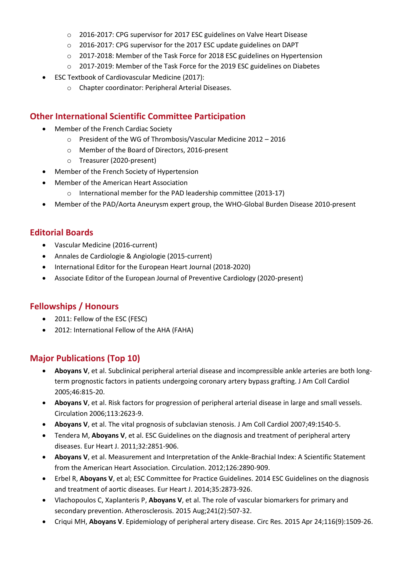- o 2016-2017: CPG supervisor for 2017 ESC guidelines on Valve Heart Disease
- o 2016-2017: CPG supervisor for the 2017 ESC update guidelines on DAPT
- o 2017-2018: Member of the Task Force for 2018 ESC guidelines on Hypertension
- o 2017-2019: Member of the Task Force for the 2019 ESC guidelines on Diabetes
- ESC Textbook of Cardiovascular Medicine (2017):
	- o Chapter coordinator: Peripheral Arterial Diseases.

#### **Other International Scientific Committee Participation**

- Member of the French Cardiac Society
	- o President of the WG of Thrombosis/Vascular Medicine 2012 2016
	- o Member of the Board of Directors, 2016-present
	- o Treasurer (2020-present)
- Member of the French Society of Hypertension
- Member of the American Heart Association
	- o International member for the PAD leadership committee (2013-17)
- Member of the PAD/Aorta Aneurysm expert group, the WHO-Global Burden Disease 2010-present

#### **Editorial Boards**

- Vascular Medicine (2016-current)
- Annales de Cardiologie & Angiologie (2015-current)
- International Editor for the European Heart Journal (2018-2020)
- Associate Editor of the European Journal of Preventive Cardiology (2020-present)

#### **Fellowships / Honours**

- 2011: Fellow of the ESC (FESC)
- 2012: International Fellow of the AHA (FAHA)

#### **Major Publications (Top 10)**

- **Aboyans V**, et al. Subclinical peripheral arterial disease and incompressible ankle arteries are both longterm prognostic factors in patients undergoing coronary artery bypass grafting. J Am Coll Cardiol 2005;46:815-20.
- **Aboyans V**, et al. Risk factors for progression of peripheral arterial disease in large and small vessels. Circulation 2006;113:2623-9.
- **Aboyans V**, et al. The vital prognosis of subclavian stenosis. J Am Coll Cardiol 2007;49:1540-5.
- Tendera M, **Aboyans V**, et al. ESC Guidelines on the diagnosis and treatment of peripheral artery diseases. Eur Heart J. 2011;32:2851-906.
- **Aboyans V**, et al. Measurement and Interpretation of the Ankle-Brachial Index: A Scientific Statement from the American Heart Association. Circulation. 2012;126:2890-909.
- Erbel R, **Aboyans V**, et al; ESC Committee for Practice Guidelines. 2014 ESC Guidelines on the diagnosis and treatment of aortic diseases. Eur Heart J. 2014;35:2873-926.
- Vlachopoulos C, Xaplanteris P, **Aboyans V**, et al. The role of vascular biomarkers for primary and secondary prevention. Atherosclerosis. 2015 Aug;241(2):507-32.
- Criqui MH, **Aboyans V**. Epidemiology of peripheral artery disease. Circ Res. 2015 Apr 24;116(9):1509-26.